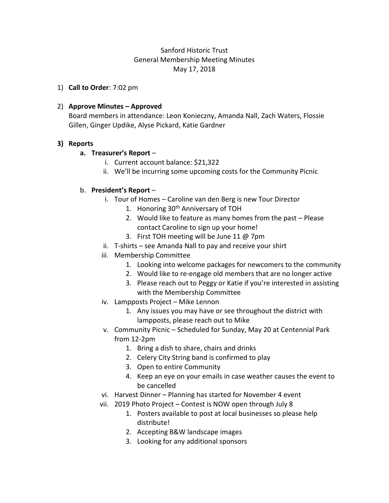# Sanford Historic Trust General Membership Meeting Minutes May 17, 2018

1) **Call to Order**: 7:02 pm

## 2) **Approve Minutes – Approved**

Board members in attendance: Leon Konieczny, Amanda Nall, Zach Waters, Flossie Gillen, Ginger Updike, Alyse Pickard, Katie Gardner

### **3) Reports**

### **a. Treasurer's Report** –

- i. Current account balance: \$21,322
- ii. We'll be incurring some upcoming costs for the Community Picnic

### b. **President's Report** –

- i. Tour of Homes Caroline van den Berg is new Tour Director
	- 1. Honoring  $30<sup>th</sup>$  Anniversary of TOH
	- 2. Would like to feature as many homes from the past Please contact Caroline to sign up your home!
	- 3. First TOH meeting will be June 11 @ 7pm
- ii. T-shirts see Amanda Nall to pay and receive your shirt
- iii. Membership Committee
	- 1. Looking into welcome packages for newcomers to the community
	- 2. Would like to re-engage old members that are no longer active
	- 3. Please reach out to Peggy or Katie if you're interested in assisting with the Membership Committee
- iv. Lampposts Project Mike Lennon
	- 1. Any issues you may have or see throughout the district with lampposts, please reach out to Mike
- v. Community Picnic Scheduled for Sunday, May 20 at Centennial Park from 12-2pm
	- 1. Bring a dish to share, chairs and drinks
	- 2. Celery City String band is confirmed to play
	- 3. Open to entire Community
	- 4. Keep an eye on your emails in case weather causes the event to be cancelled
- vi. Harvest Dinner Planning has started for November 4 event
- vii. 2019 Photo Project Contest is NOW open through July 8
	- 1. Posters available to post at local businesses so please help distribute!
	- 2. Accepting B&W landscape images
	- 3. Looking for any additional sponsors